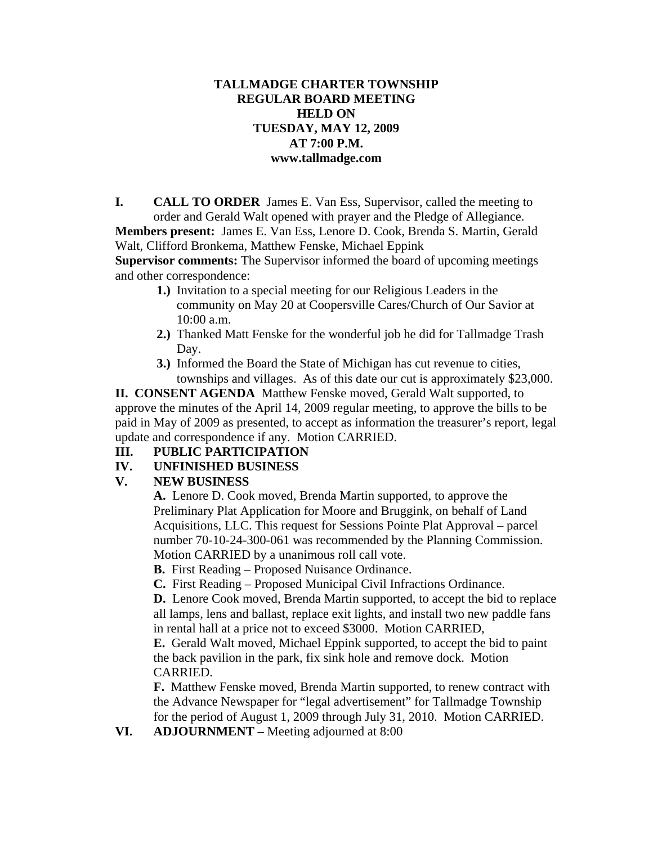#### **TALLMADGE CHARTER TOWNSHIP REGULAR BOARD MEETING HELD ON TUESDAY, MAY 12, 2009 AT 7:00 P.M. www.tallmadge.com**

**I. CALL TO ORDER** James E. Van Ess, Supervisor, called the meeting to order and Gerald Walt opened with prayer and the Pledge of Allegiance.

**Members present:** James E. Van Ess, Lenore D. Cook, Brenda S. Martin, Gerald Walt, Clifford Bronkema, Matthew Fenske, Michael Eppink

**Supervisor comments:** The Supervisor informed the board of upcoming meetings and other correspondence:

- **1.)** Invitation to a special meeting for our Religious Leaders in the community on May 20 at Coopersville Cares/Church of Our Savior at 10:00 a.m.
- **2.)** Thanked Matt Fenske for the wonderful job he did for Tallmadge Trash Day.
- **3.)** Informed the Board the State of Michigan has cut revenue to cities, townships and villages. As of this date our cut is approximately \$23,000.

**II. CONSENT AGENDA** Matthew Fenske moved, Gerald Walt supported, to approve the minutes of the April 14, 2009 regular meeting, to approve the bills to be paid in May of 2009 as presented, to accept as information the treasurer's report, legal update and correspondence if any. Motion CARRIED.

# **III. PUBLIC PARTICIPATION**

# **IV. UNFINISHED BUSINESS**

# **V. NEW BUSINESS**

**A.** Lenore D. Cook moved, Brenda Martin supported, to approve the Preliminary Plat Application for Moore and Bruggink, on behalf of Land Acquisitions, LLC. This request for Sessions Pointe Plat Approval – parcel number 70-10-24-300-061 was recommended by the Planning Commission. Motion CARRIED by a unanimous roll call vote.

**B.** First Reading – Proposed Nuisance Ordinance.

**C.** First Reading – Proposed Municipal Civil Infractions Ordinance.

**D.** Lenore Cook moved, Brenda Martin supported, to accept the bid to replace all lamps, lens and ballast, replace exit lights, and install two new paddle fans in rental hall at a price not to exceed \$3000. Motion CARRIED,

**E.** Gerald Walt moved, Michael Eppink supported, to accept the bid to paint the back pavilion in the park, fix sink hole and remove dock. Motion CARRIED.

**F.** Matthew Fenske moved, Brenda Martin supported, to renew contract with the Advance Newspaper for "legal advertisement" for Tallmadge Township for the period of August 1, 2009 through July 31, 2010. Motion CARRIED.

**VI. ADJOURNMENT –** Meeting adjourned at 8:00